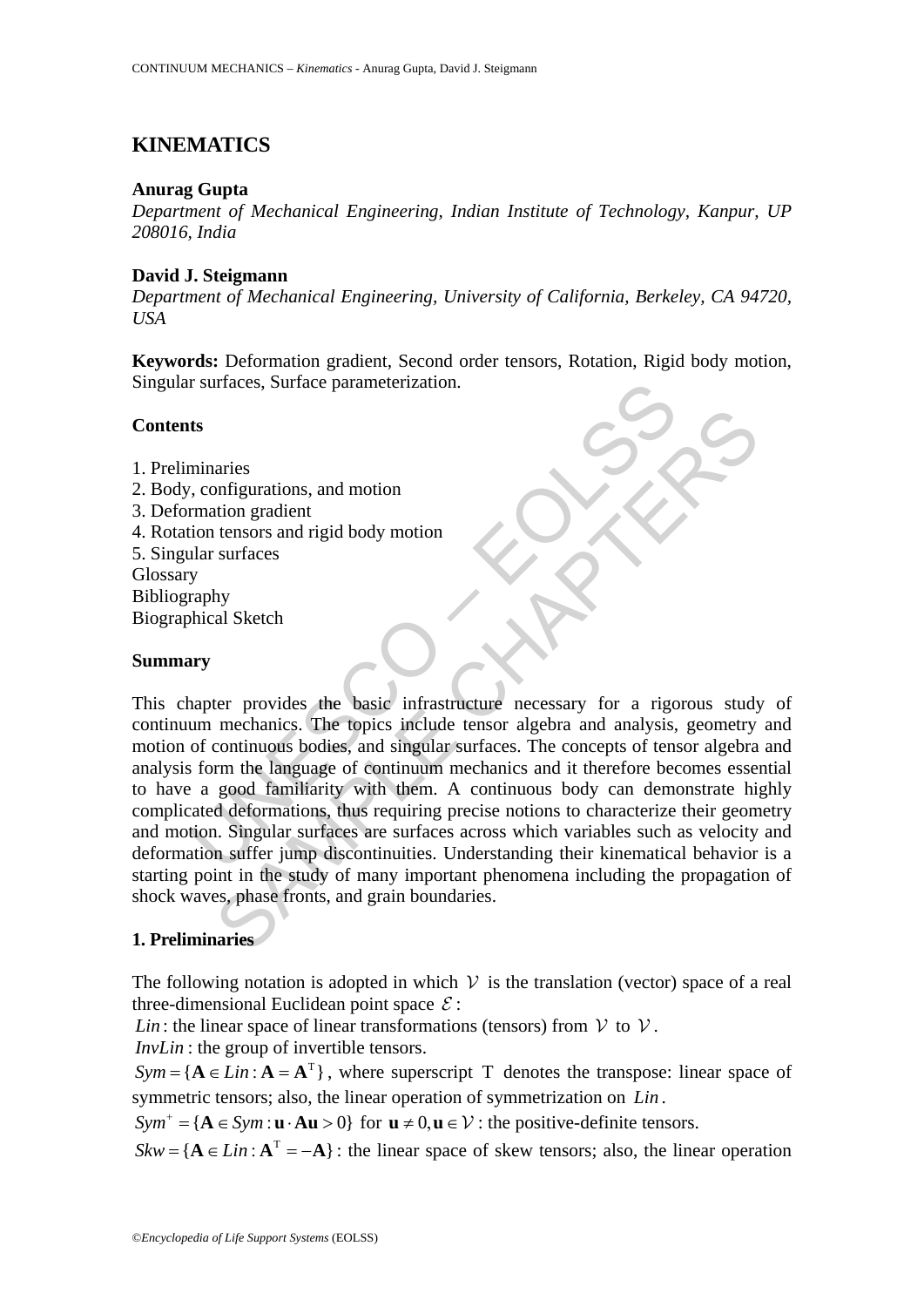# **KINEMATICS**

### **Anurag Gupta**

*Department of Mechanical Engineering, Indian Institute of Technology, Kanpur, UP 208016, India*

### **David J. Steigmann**

*Department of Mechanical Engineering, University of California, Berkeley, CA 94720, USA*

**Keywords:** Deformation gradient, Second order tensors, Rotation, Rigid body motion, Singular surfaces, Surface parameterization.

# **Contents**

- 1. Preliminaries
- 2. Body, configurations, and motion
- 3. Deformation gradient
- 4. Rotation tensors and rigid body motion
- 5. Singular surfaces Glossary Bibliography Biographical Sketch

### **Summary**

In the surfaces, surface parameterization.<br>
ts<br>
minaries<br>
in configurations, and motion<br>
mation gradient<br>
lar surfaces<br>
y<br>
y<br>
y<br>
y<br>
y<br>
mapter provides the basic infrastructure necessary for a rigo<br>
apter provides the basic aries<br>
aries<br>
onfigurations, and motion<br>
ution gradient<br>
tensors and rigid body motion<br>
surfaces<br>
hy<br>
al Sketch<br>
mechanics. The topics infrastructure necessary for a rigorous study<br>
mechanics. The topics include tensor alg This chapter provides the basic infrastructure necessary for a rigorous study of continuum mechanics. The topics include tensor algebra and analysis, geometry and motion of continuous bodies, and singular surfaces. The concepts of tensor algebra and analysis form the language of continuum mechanics and it therefore becomes essential to have a good familiarity with them. A continuous body can demonstrate highly complicated deformations, thus requiring precise notions to characterize their geometry and motion. Singular surfaces are surfaces across which variables such as velocity and deformation suffer jump discontinuities. Understanding their kinematical behavior is a starting point in the study of many important phenomena including the propagation of shock waves, phase fronts, and grain boundaries.

# **1. Preliminaries**

The following notation is adopted in which  $V$  is the translation (vector) space of a real three-dimensional Euclidean point space  $\mathcal{E}$ :

*Lin* : the linear space of linear transformations (tensors) from  $V$  to  $V$ .

*InvLin* : the group of invertible tensors.

 $Sym = \{A \in Lin : A = A^T\}$ , where superscript T denotes the transpose: linear space of symmetric tensors; also, the linear operation of symmetrization on *Lin* .

 $Sym^+ = {\bf A} \in Sym : {\bf u} \cdot {\bf A} {\bf u} > 0$  for  ${\bf u} \neq 0, {\bf u} \in V$ : the positive-definite tensors.

 $Skw = \{A \in Lin : A^T = -A\}$ : the linear space of skew tensors; also, the linear operation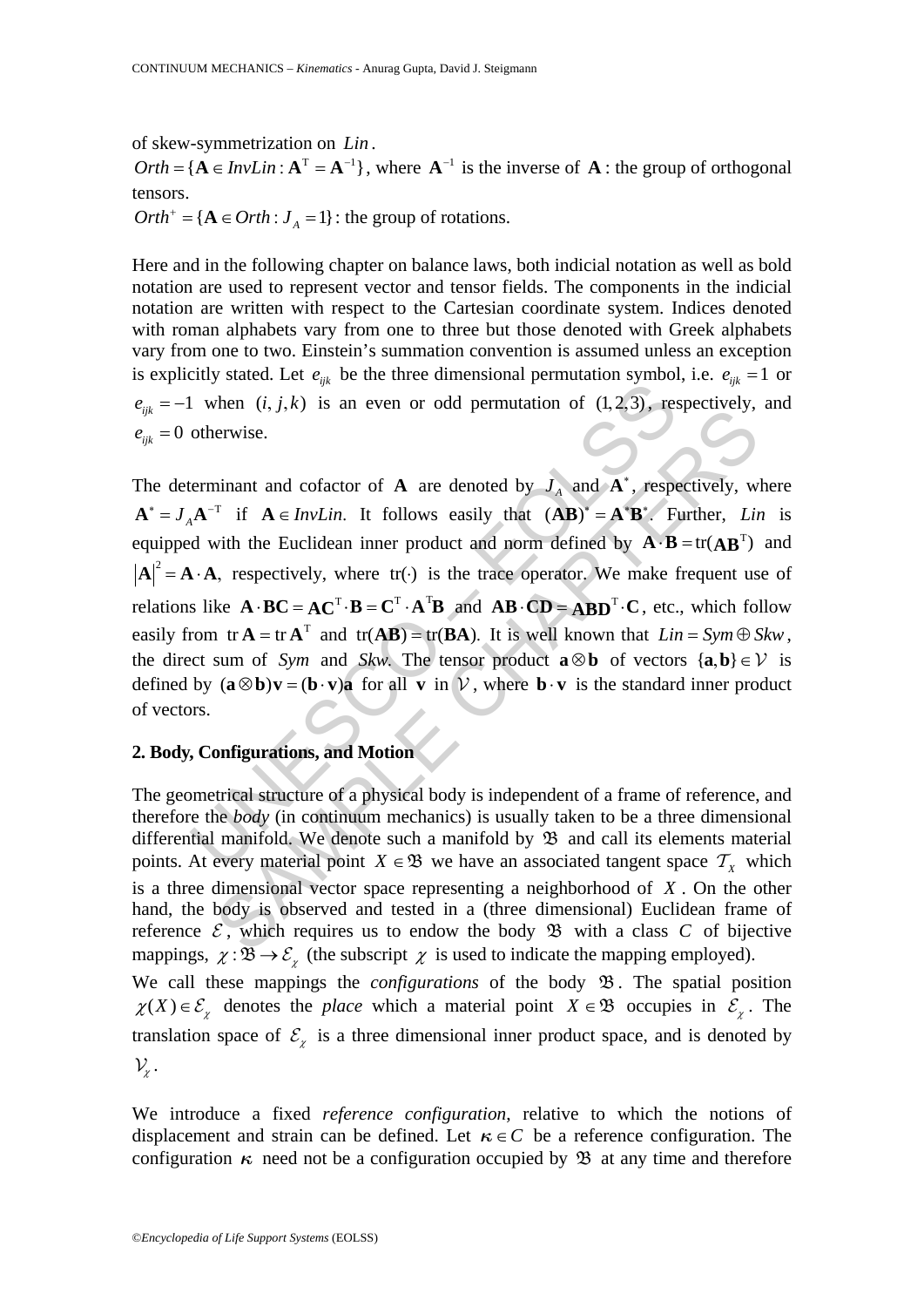of skew-symmetrization on *Lin*.<br>*Orth* = {**}, where**  $**A**<sup>-1</sup>$  **is the inverse of <b>A** : the group of orthogonal tensors.

 $Orth^+ = \{ \mathbf{A} \in Orth : J_A = 1 \}$ : the group of rotations.

Here and in the following chapter on balance laws, both indicial notation as well as bold notation are used to represent vector and tensor fields. The components in the indicial notation are written with respect to the Cartesian coordinate system. Indices denoted with roman alphabets vary from one to three but those denoted with Greek alphabets vary from one to two. Einstein's summation convention is assumed unless an exception is explicitly stated. Let  $e_{ijk}$  be the three dimensional permutation symbol, i.e.  $e_{ijk} = 1$  or  $e_{ijk} = -1$  when  $(i, j, k)$  is an even or odd permutation of  $(1, 2, 3)$ , respectively, and  $e_{ijk} = 0$  otherwise.

Lumple  $\iota_i, j, k$ ) is an even or odd permutation of  $(1, 2, 3)$ , respectively.<br>
Lumple  $(i, j, k)$  is an even or odd permutation of  $(1, 2, 3)$ , respectively.<br>
Lumple  $A^{-T}$  if  $A \in InvLin$ . It follows easily that  $(AB)^* = A^T B^*$ . Then  $(t_1, k_2, t_3)$  is an even of odd permutation of  $(t_1, k_2, t_3)$ , tespectively, ervise.<br>
erwise.<br>
First  $\mathbf{A} \in InvLin$ . It follows easily that  $(\mathbf{AB})^* = \mathbf{A}^* \mathbf{B}^*$ . Further, Lin<br>
with the Euclidean inner product a The determinant and cofactor of **A** are denoted by  $J<sub>A</sub>$  and  $\overrightarrow{A}^*$ , respectively, where  $A^* = J_A A^{-T}$  if  $A \in InvLin$ . It follows easily that  $(AB)^* = A^*B^*$ . Further, *Lin* is equipped with the Euclidean inner product and norm defined by  $\mathbf{A} \cdot \mathbf{B} = \text{tr}(\mathbf{A}\mathbf{B}^T)$  and  $A|^2 = A \cdot A$ , respectively, where tr( $\cdot$ ) is the trace operator. We make frequent use of relations like  $\mathbf{A} \cdot \mathbf{B} \mathbf{C} = \mathbf{A} \mathbf{C}^{\mathrm{T}} \cdot \mathbf{B} = \mathbf{C}^{\mathrm{T}} \cdot \mathbf{A}^{\mathrm{T}} \mathbf{B}$  and  $\mathbf{A} \mathbf{B} \cdot \mathbf{C} \mathbf{D} = \mathbf{A} \mathbf{B} \mathbf{D}^{\mathrm{T}} \cdot \mathbf{C}$ , etc., which follow easily from  $tr A = tr A<sup>T</sup>$  and  $tr(AB) = tr(BA)$ . It is well known that  $Lin = Sym \oplus Skw$ , the direct sum of *Sym* and *Skw*. The tensor product **a**  $\otimes$ **b** of vectors {**a**,**b**}  $\in$  $\vee$  is defined by  $(\mathbf{a} \otimes \mathbf{b})\mathbf{v} = (\mathbf{b} \cdot \mathbf{v})\mathbf{a}$  for all **v** in  $V$ , where  $\mathbf{b} \cdot \mathbf{v}$  is the standard inner product of vectors.

# **2. Body, Configurations, and Motion**

The geometrical structure of a physical body is independent of a frame of reference, and therefore the *body* (in continuum mechanics) is usually taken to be a three dimensional differential manifold. We denote such a manifold by  $\mathfrak B$  and call its elements material points. At every material point  $X \in \mathfrak{B}$  we have an associated tangent space  $T_X$  which is a three dimensional vector space representing a neighborhood of *X* . On the other hand, the body is observed and tested in a (three dimensional) Euclidean frame of reference  $\mathcal{E}$ , which requires us to endow the body  $\mathfrak{B}$  with a class  $C$  of bijective mappings,  $\chi : \overline{\mathfrak{B}} \to \mathcal{E}_{\gamma}$  (the subscript  $\chi$  is used to indicate the mapping employed). We call these mappings the *configurations* of the body  $\mathfrak{B}$ . The spatial position  $\chi(X) \in \mathcal{E}_{\chi}$  denotes the *place* which a material point  $X \in \mathfrak{B}$  occupies in  $\mathcal{E}_{\chi}$ . The translation space of  $\mathcal{E}_{\chi}$  is a three dimensional inner product space, and is denoted by

 $\mathcal{V}_{\chi}$ .

We introduce a fixed *reference configuration*, relative to which the notions of displacement and strain can be defined. Let  $\kappa \in C$  be a reference configuration. The configuration  $\kappa$  need not be a configuration occupied by  $\mathfrak B$  at any time and therefore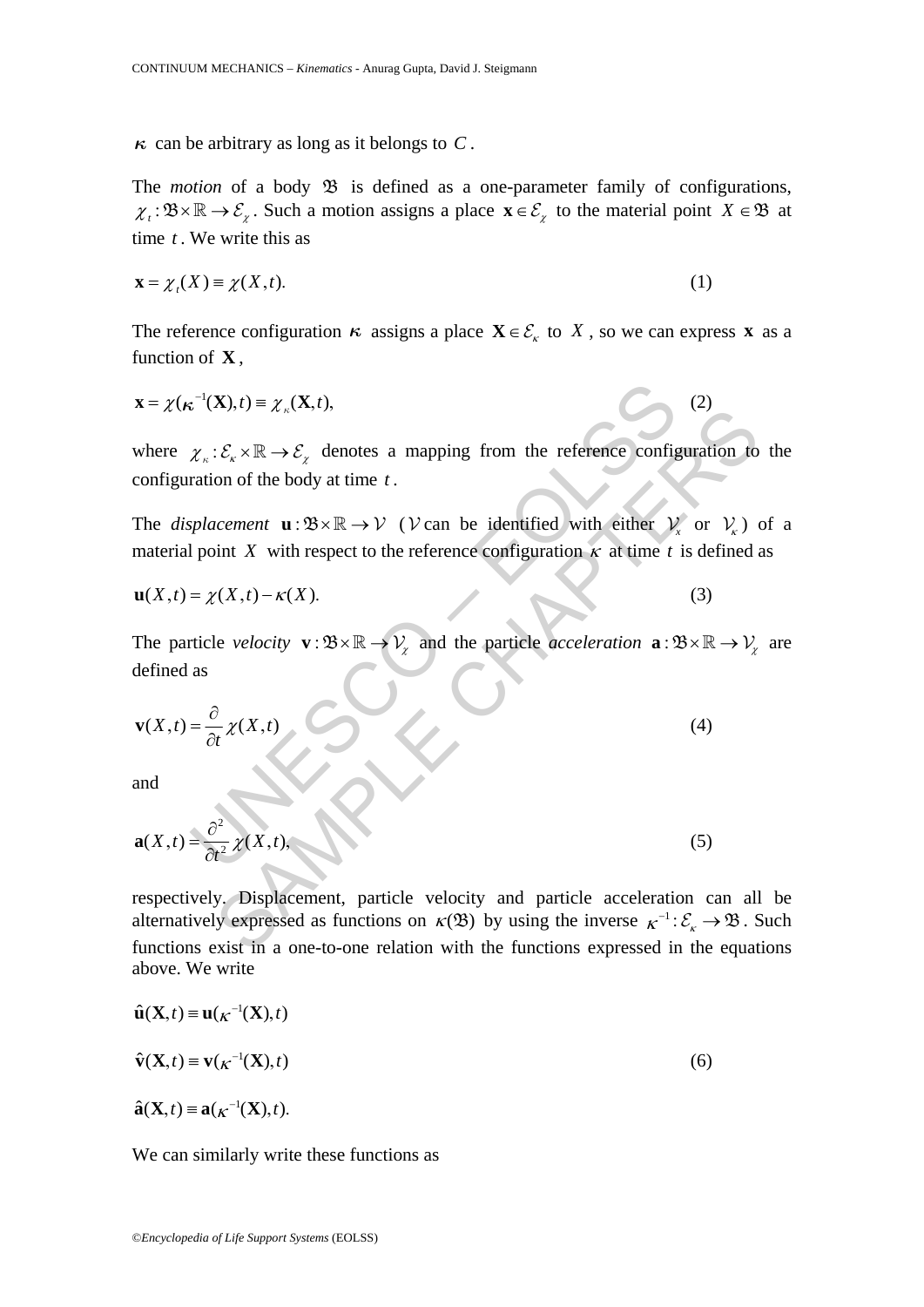$\kappa$  can be arbitrary as long as it belongs to *C*.

The *motion* of a body  $\mathfrak B$  is defined as a one-parameter family of configurations,  $\chi_t : \mathfrak{B} \times \mathbb{R} \to \mathcal{E}_{\chi}$ . Such a motion assigns a place  $\mathbf{x} \in \mathcal{E}_{\chi}$  to the material point  $X \in \mathfrak{B}$  at time *t* . We write this as

$$
\mathbf{x} = \chi_t(X) \equiv \chi(X, t). \tag{1}
$$

The reference configuration  $\kappa$  assigns a place  $\mathbf{X} \in \mathcal{E}_{\kappa}$  to *X*, so we can express **x** as a function of **X** ,

$$
\mathbf{x} = \chi(\kappa^{-1}(\mathbf{X}), t) \equiv \chi_{\kappa}(\mathbf{X}, t), \tag{2}
$$

where  $\chi_{\kappa} : \mathcal{E}_{\kappa} \times \mathbb{R} \to \mathcal{E}_{\kappa}$  denotes a mapping from the reference configuration to the configuration of the body at time *t* .

The *displacement*  $\mathbf{u} : \mathcal{B} \times \mathbb{R} \to \mathcal{V}$  (*V* can be identified with either  $V_x$  or  $V_x$ ) of a material point *X* with respect to the reference configuration  $\kappa$  at time *t* is defined as

$$
\mathbf{u}(X,t) = \chi(X,t) - \kappa(X). \tag{3}
$$

The particle *velocity*  $\mathbf{v} : \mathcal{B} \times \mathbb{R} \to V_{\mathcal{X}}$  and the particle *acceleration*  $\mathbf{a} : \mathcal{B} \times \mathbb{R} \to V_{\mathcal{X}}$  are defined as

$$
\mathbf{x} = \chi(\kappa^{-1}(\mathbf{X}), t) \equiv \chi_{\kappa}(\mathbf{X}, t),
$$
\nwhere  $\chi_{\kappa}: \mathcal{E}_{\kappa} \times \mathbb{R} \to \mathcal{E}_{\chi}$  denotes a mapping from the reference configuration of the body at time *t*.\n\nThe displacement  $\mathbf{u}: \mathcal{B} \times \mathbb{R} \to \mathcal{V}$  (*V* can be identified with either  $\mathcal{V}_{\kappa}$  or material point *X* with respect to the reference configuration  $\kappa$  at time *t* is de  $\mathbf{u}(X, t) = \chi(X, t) - \kappa(X)$ .\n\nThe particle velocity  $\mathbf{v}: \mathcal{B} \times \mathbb{R} \to \mathcal{V}_{\chi}$  and the particle acceleration  $\mathbf{a}: \mathcal{B} \times \mathbb{R}$  defined as\n
$$
\mathbf{v}(X, t) = \frac{\partial}{\partial t} \chi(X, t)
$$
\n(4)\n\nand\n
$$
\mathbf{a}(X, t) = \frac{\partial^2}{\partial t^2} \chi(X, t),
$$
\n(5)

and

$$
\mathbf{a}(X,t) = \frac{\partial^2}{\partial t^2} \chi(X,t),\tag{5}
$$

 $\mathcal{L}:\mathcal{E}_{x} \times \mathbb{R} \to \mathcal{E}_{x}$  denotes a mapping from the reference configuration to<br>
on of the body at time t.<br>
ccement **u**:  $\mathcal{B} \times \mathbb{R} \to \mathcal{V}$  (*V* can be identified with either  $V_{x}$  or  $V_{x}$ )<br>
int *X* with respectively. Displacement, particle velocity and particle acceleration can all be alternatively expressed as functions on  $\kappa(\mathfrak{B})$  by using the inverse  $\kappa^{-1}: \mathcal{E}_{\kappa} \to \mathfrak{B}$ . Such functions exist in a one-to-one relation with the functions expressed in the equations above. We write

$$
\hat{\mathbf{u}}(\mathbf{X},t) \equiv \mathbf{u}(\kappa^{-1}(\mathbf{X}),t)
$$
  
\n
$$
\hat{\mathbf{v}}(\mathbf{X},t) \equiv \mathbf{v}(\kappa^{-1}(\mathbf{X}),t)
$$
  
\n
$$
\hat{\mathbf{a}}(\mathbf{X},t) \equiv \mathbf{a}(\kappa^{-1}(\mathbf{X}),t).
$$
\n(6)

We can similarly write these functions as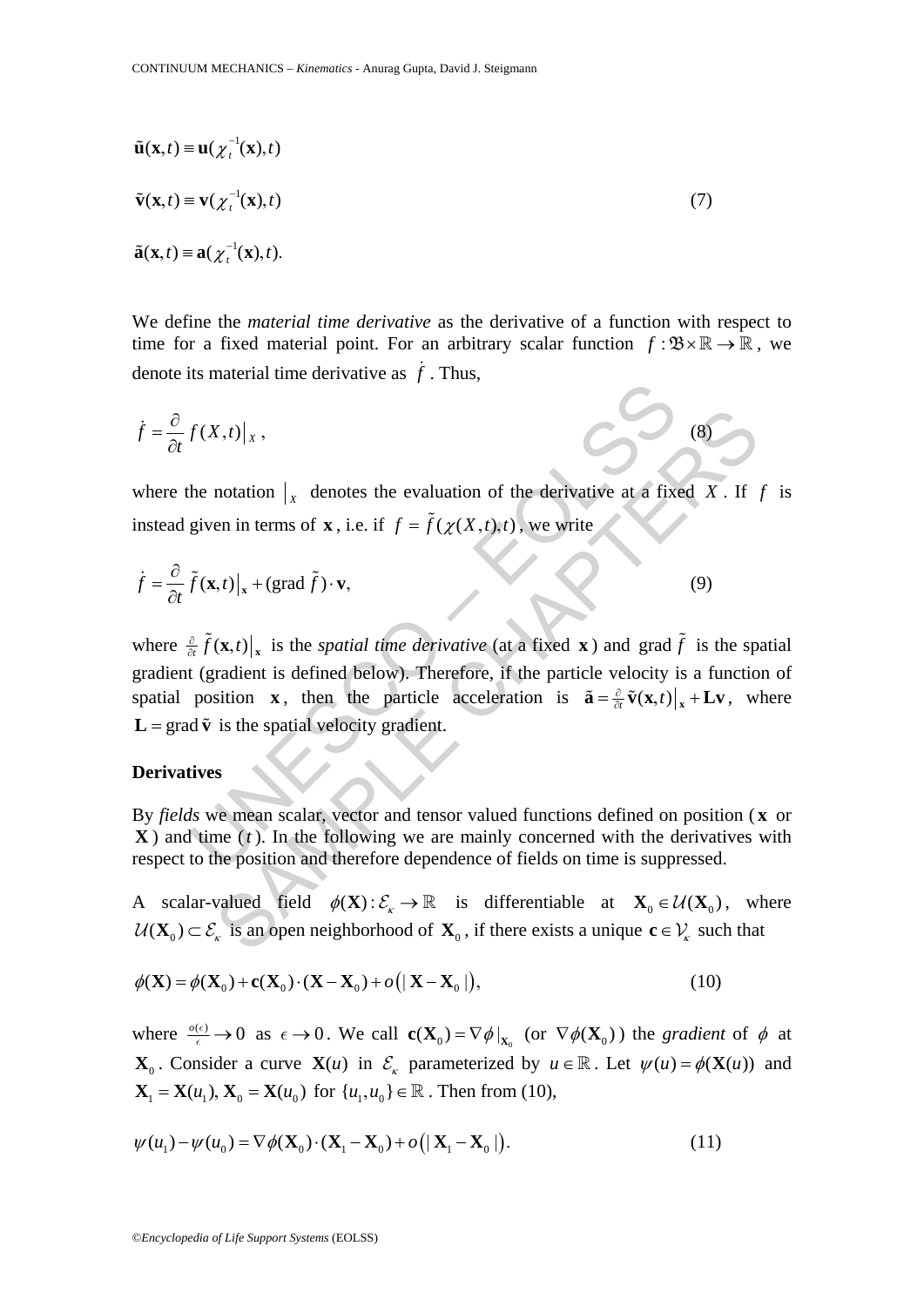$$
\tilde{\mathbf{u}}(\mathbf{x},t) \equiv \mathbf{u}(\chi_t^{-1}(\mathbf{x}),t)
$$
  
\n
$$
\tilde{\mathbf{v}}(\mathbf{x},t) \equiv \mathbf{v}(\chi_t^{-1}(\mathbf{x}),t)
$$
  
\n
$$
\tilde{\mathbf{a}}(\mathbf{x},t) \equiv \mathbf{a}(\chi_t^{-1}(\mathbf{x}),t).
$$
\n(7)

We define the *material time derivative* as the derivative of a function with respect to time for a fixed material point. For an arbitrary scalar function  $f : \mathcal{B} \times \mathbb{R} \to \mathbb{R}$ , we denote its material time derivative as  $\dot{f}$ . Thus,

$$
\dot{f} = \frac{\partial}{\partial t} f(X, t) \big|_X, \tag{8}
$$

where the notation  $\vert_x$  denotes the evaluation of the derivative at a fixed *X*. If *f* is instead given in terms of **x**, i.e. if  $f = \tilde{f}(\chi(X,t),t)$ , we write

$$
\dot{f} = \frac{\partial}{\partial t} \tilde{f}(\mathbf{x}, t) \big|_{\mathbf{x}} + (\text{grad } \tilde{f}) \cdot \mathbf{v},
$$
\n(9)

 $f(X,t)|_X$ ,<br>
the notation  $|_X$  denotes the evaluation of the derivative at a fixe<br>
given in terms of **x**, i.e. if  $f = \tilde{f}(\chi(X,t),t)$ , we write<br>  $\tilde{f}(\mathbf{x},t)|_x + (\text{grad }\tilde{f}) \cdot \mathbf{v}$ ,<br>  $\frac{\partial}{\partial t} \tilde{f}(\mathbf{x},t)|_x$  is the *spati* X,t) |<sub>x</sub>,<br>
notation |<sub>x</sub> denotes the evaluation of the derivative at a fixed X. If<br>
en in terms of **x**, i.e. if  $f = \tilde{f}(\chi(X, t), t)$ , we write<br>  $(x, t)|_x + (\text{grad } \tilde{f}) \cdot \mathbf{v}$ ,<br>  $(x, t)|_x + (\text{grad } \tilde{f}) \cdot \mathbf{v}$ ,<br>  $(x, t)|_x$  is the where  $\frac{\partial}{\partial t} \tilde{f}(\mathbf{x},t) \big|_{\mathbf{x}}$  is the *spatial time derivative* (at a fixed **x**) and grad  $\tilde{f}$  is the spatial gradient (gradient is defined below). Therefore, if the particle velocity is a function of spatial position **x**, then the particle acceleration is  $\tilde{\mathbf{a}} = \frac{\partial}{\partial t} \tilde{\mathbf{v}}(\mathbf{x}, t) \big|_{\mathbf{x}} + \mathbf{L} \mathbf{v}$ , where  $L = \text{grad } \tilde{v}$  is the spatial velocity gradient.

### **Derivatives**

By *fields* we mean scalar, vector and tensor valued functions defined on position ( **x** or **X** ) and time (*t* ). In the following we are mainly concerned with the derivatives with respect to the position and therefore dependence of fields on time is suppressed.

A scalar-valued field  $\phi(\mathbf{X}) : \mathcal{E}_k \to \mathbb{R}$  is differentiable at  $\mathbf{X}_0 \in \mathcal{U}(\mathbf{X}_0)$ , where  $U(\mathbf{X}_0) \subset \mathcal{E}_{\kappa}$  is an open neighborhood of  $\mathbf{X}_0$ , if there exists a unique  $\mathbf{c} \in \mathcal{V}_{\kappa}$  such that

$$
\phi(\mathbf{X}) = \phi(\mathbf{X}_0) + \mathbf{c}(\mathbf{X}_0) \cdot (\mathbf{X} - \mathbf{X}_0) + o(|\mathbf{X} - \mathbf{X}_0|),
$$
\n(10)

where  $\frac{\partial}{\partial \epsilon} \to 0$  as  $\epsilon \to 0$ . We call  $\mathbf{c}(\mathbf{X}_0) = \nabla \phi|_{\mathbf{X}_0}$  (or  $\nabla \phi(\mathbf{X}_0)$ ) the *gradient* of  $\phi$  at **X**<sub>0</sub>. Consider a curve **X**(*u*) in  $\mathcal{E}_k$  parameterized by  $u \in \mathbb{R}$ . Let  $\psi(u) = \phi(\mathbf{X}(u))$  and  $X_1 = X(u_1)$ ,  $X_0 = X(u_0)$  for  $\{u_1, u_0\} \in \mathbb{R}$ . Then from (10),

$$
\psi(u_1) - \psi(u_0) = \nabla \phi(\mathbf{X}_0) \cdot (\mathbf{X}_1 - \mathbf{X}_0) + o\left(|\mathbf{X}_1 - \mathbf{X}_0|\right).
$$
\n(11)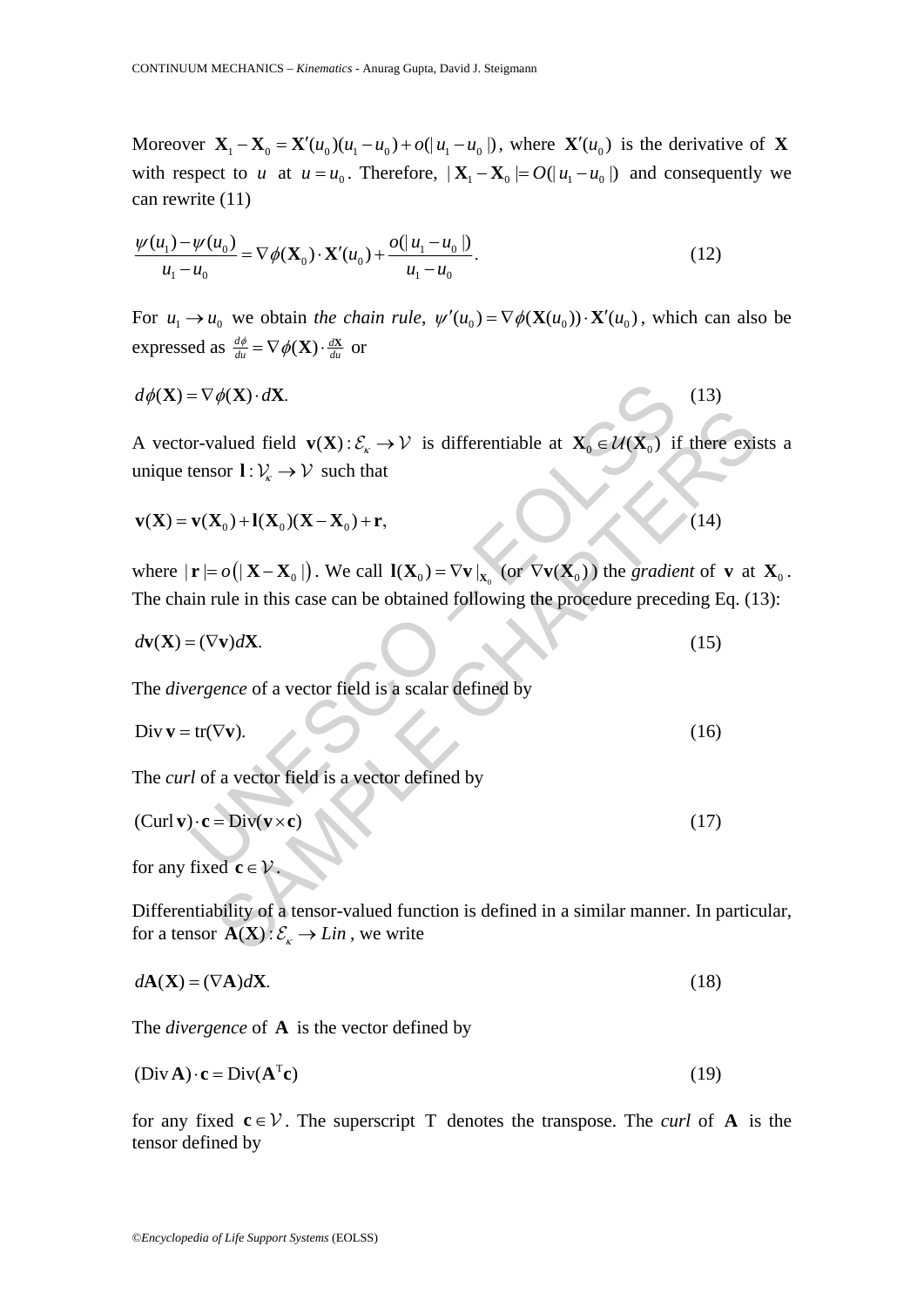Moreover  $X_1 - X_0 = X'(u_0)(u_1 - u_0) + o(|u_1 - u_0|)$ , where  $X'(u_0)$  is the derivative of X with respect to *u* at  $u = u_0$ . Therefore,  $|\mathbf{X}_1 - \mathbf{X}_0| = O(|u_1 - u_0|)$  and consequently we can rewrite (11)

$$
\frac{\psi(u_1) - \psi(u_0)}{u_1 - u_0} = \nabla \phi(\mathbf{X}_0) \cdot \mathbf{X}'(u_0) + \frac{o(|u_1 - u_0|)}{u_1 - u_0}.
$$
\n(12)

For  $u_1 \rightarrow u_0$  we obtain *the chain rule*,  $\psi'(u_0) = \nabla \phi(\mathbf{X}(u_0)) \cdot \mathbf{X}'(u_0)$ , which can also be expressed as  $\frac{d\phi}{du} = \nabla \phi(\mathbf{X}) \cdot \frac{d\mathbf{X}}{du}$  or

$$
d\phi(\mathbf{X}) = \nabla \phi(\mathbf{X}) \cdot d\mathbf{X}.\tag{13}
$$

=  $\nabla \phi(\mathbf{X}) \cdot d\mathbf{X}$ .<br>
or-valued field **v**( $\mathbf{X}$ ):  $\mathcal{E}_k \rightarrow \mathcal{V}$  is differentiable at  $\mathbf{X}_0 \in \mathcal{U}(\mathbf{X}_0)$  if<br>
tensor  $\mathbf{I}: \mathcal{V}_k \rightarrow \mathcal{V}$  such that<br> **v**( $\mathbf{X}_0$ )+ $\mathbf{I}(\mathbf{X}_0)(\mathbf{X} - \mathbf{X}_0) + \mathbf{r}$ alued field **v**(**X**):  $\mathcal{E}_x \to \mathcal{V}$  is differentiable at  $\mathbf{X}_0 \in \mathcal{U}(\mathbf{X}_0)$  if there exists or  $1: V_x \to \mathcal{V}$  such that<br>  $\mathbf{X}_0 + \mathbf{I}(\mathbf{X}_0)(\mathbf{X} - \mathbf{X}_0) + \mathbf{r}$ ,<br>  $= o(|\mathbf{X} - \mathbf{X}_0|)$ . We call  $\mathbf{I}(\math$ A vector-valued field  $\mathbf{v}(\mathbf{X}) : \mathcal{E}_{\kappa} \to \mathcal{V}$  is differentiable at  $\mathbf{X}_{0} \in \mathcal{U}(\mathbf{X}_{0})$  if there exists a unique tensor  $\mathbf{l} : \mathcal{V}_{k} \to \mathcal{V}$  such that

$$
\mathbf{v}(\mathbf{X}) = \mathbf{v}(\mathbf{X}_0) + \mathbf{l}(\mathbf{X}_0)(\mathbf{X} - \mathbf{X}_0) + \mathbf{r},\tag{14}
$$

where  $|\mathbf{r}| = o(|\mathbf{X} - \mathbf{X}_0|)$ . We call  $\mathbf{I}(\mathbf{X}_0) = \nabla \mathbf{v}|_{\mathbf{X}_0}$  (or  $\nabla \mathbf{v}(\mathbf{X}_0)$ ) the *gradient* of **v** at  $\mathbf{X}_0$ . The chain rule in this case can be obtained following the procedure preceding Eq. (13):

$$
d\mathbf{v}(\mathbf{X}) = (\nabla \mathbf{v})d\mathbf{X}.\tag{15}
$$

The *divergence* of a vector field is a scalar defined by

$$
\text{Div }\mathbf{v} = \text{tr}(\nabla \mathbf{v}).\tag{16}
$$

The *curl* of a vector field is a vector defined by

$$
(Curl \mathbf{v}) \cdot \mathbf{c} = \text{Div}(\mathbf{v} \times \mathbf{c}) \tag{17}
$$

for any fixed **c**∈ $V$ 

Differentiability of a tensor-valued function is defined in a similar manner. In particular, for a tensor  $\mathbf{A}(\mathbf{X}) : \mathcal{E}_{k} \to \text{Lin}$ , we write

$$
d\mathbf{A}(\mathbf{X}) = (\nabla \mathbf{A})d\mathbf{X}.\tag{18}
$$

The *divergence* of **A** is the vector defined by

$$
(Div A) \cdot c = Div(A^{T}c) \tag{19}
$$

for any fixed  $c \in V$ . The superscript T denotes the transpose. The *curl* of **A** is the tensor defined by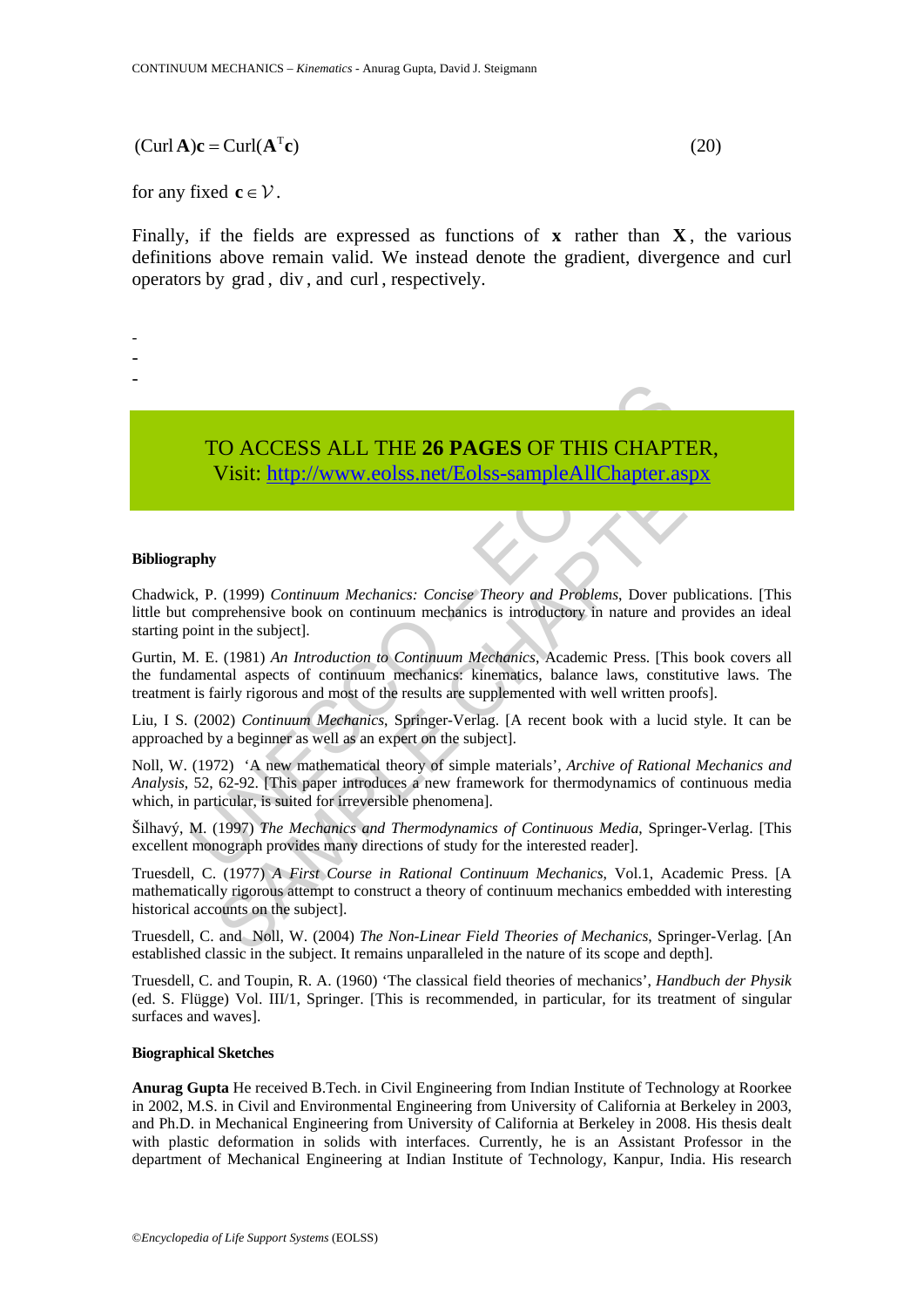### $(Curl A)c = Curl(A<sup>T</sup>c)$  (20)

### for any fixed **c**  $\in$   $\mathcal{V}$ .

Finally, if the fields are expressed as functions of  $\bf{x}$  rather than  $\bf{X}$ , the various definitions above remain valid. We instead denote the gradient, divergence and curl operators by grad , div , and curl , respectively.

- -
- -

-

TO ACCESS ALL THE **26 PAGES** OF THIS CHAPTER, Visit: http://www.eolss.net/Eolss-sampleAllChapter.aspx

### **Bibliography**

Chadwick, P. (1999) *Continuum Mechanics: Concise Theory and Problems*, Dover publications. [This little but comprehensive book on continuum mechanics is introductory in nature and provides an ideal starting point in the subject].

TO ACCESS ALL THE 26 PAGES OF THIS CHAPT<br>Visit: http://www.eolss.net/Eolss-sampleAllChapter.a<br>why were comprehensive book on continuum mechanics: Concise Theory and Problems, Dover p<br>compenhensive book on continuum mechani CO ACCESS ALL THE 26 PAGES OF THIS CHAPTER,<br>
Visit:  $\frac{http://www.eolss.net/Eolss-sampleAllChapter, aspx}{http://www.eolss.net/Eolss-sampleAllChapter, aspx}$ <br>
(1999) Continuum Mechanics: Concise Theory and Problems, Dover publications.<br>
in the subject!<br>
in the subject!<br>
(1981) An Intr Gurtin, M. E. (1981) *An Introduction to Continuum Mechanics*, Academic Press. [This book covers all the fundamental aspects of continuum mechanics: kinematics, balance laws, constitutive laws. The treatment is fairly rigorous and most of the results are supplemented with well written proofs].

Liu, I S. (2002) *Continuum Mechanics*, Springer-Verlag. [A recent book with a lucid style. It can be approached by a beginner as well as an expert on the subject].

Noll, W. (1972) 'A new mathematical theory of simple materials', *Archive of Rational Mechanics and Analysis*, 52, 62-92. [This paper introduces a new framework for thermodynamics of continuous media which, in particular, is suited for irreversible phenomena].

Šilhavý, M. (1997) *The Mechanics and Thermodynamics of Continuous Media*, Springer-Verlag. [This excellent monograph provides many directions of study for the interested reader].

Truesdell, C. (1977) *A First Course in Rational Continuum Mechanics*, Vol.1, Academic Press. [A mathematically rigorous attempt to construct a theory of continuum mechanics embedded with interesting historical accounts on the subject].

Truesdell, C. and Noll, W. (2004) *The Non-Linear Field Theories of Mechanics*, Springer-Verlag. [An established classic in the subject. It remains unparalleled in the nature of its scope and depth].

Truesdell, C. and Toupin, R. A. (1960) 'The classical field theories of mechanics', *Handbuch der Physik* (ed. S. Flügge) Vol. III/1, Springer. [This is recommended, in particular, for its treatment of singular surfaces and waves].

### **Biographical Sketches**

**Anurag Gupta** He received B.Tech. in Civil Engineering from Indian Institute of Technology at Roorkee in 2002, M.S. in Civil and Environmental Engineering from University of California at Berkeley in 2003, and Ph.D. in Mechanical Engineering from University of California at Berkeley in 2008. His thesis dealt with plastic deformation in solids with interfaces. Currently, he is an Assistant Professor in the department of Mechanical Engineering at Indian Institute of Technology, Kanpur, India. His research